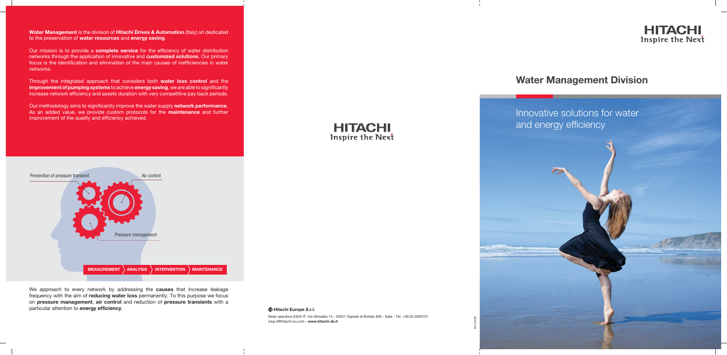**Water Management** is the division of **Hitachi Drives & Automation** (Italy) srl dedicated to the preservation of **water resources** and **energy saving**.

Our mission is to provide a **complete service** for the efficiency of water distribution networks through the application of innovative and **customized solutions**. Our primary focus is the identification and elimination of the main causes of inefficiencies in water networks.

Through the integrated approach that considers both **water loss control** and the **improvement of pumping systems** to achieve **energy saving**, we are able to significantly increase network efficiency and assets duration with very competitive pay back periods.

Our methodology aims to significantly improve the water supply network performance. As an added value, we provide custom protocols for the **maintenance** and further improvement of the quality and efficiency achieved.



We approach to every network by addressing the **causes** that increase leakage frequency with the aim of **reducing water loss** permanently. To this purpose we focus on **pressure management**, **air control** and reduction of **pressure transients** with a particular attention to **energy efficiency**.







**Hitachi Europe S.r.l.**



## **Water Management Division**